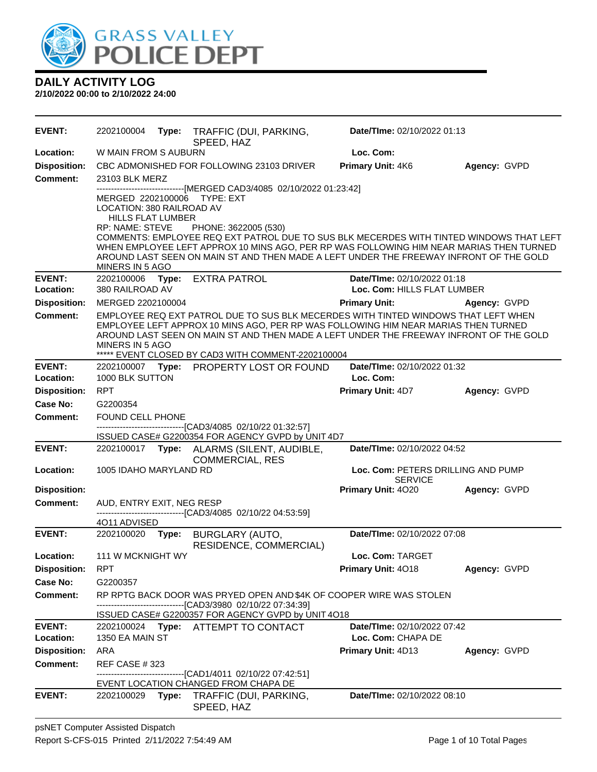

| <b>EVENT:</b>              | 2202100004                                                                                  |       | Type: TRAFFIC (DUI, PARKING,<br>SPEED, HAZ                                                                                                                                                                                                                                                                                                                                                             | Date/TIme: 02/10/2022 01:13                          |              |  |
|----------------------------|---------------------------------------------------------------------------------------------|-------|--------------------------------------------------------------------------------------------------------------------------------------------------------------------------------------------------------------------------------------------------------------------------------------------------------------------------------------------------------------------------------------------------------|------------------------------------------------------|--------------|--|
| Location:                  | W MAIN FROM S AUBURN                                                                        |       |                                                                                                                                                                                                                                                                                                                                                                                                        | Loc. Com:                                            |              |  |
| <b>Disposition:</b>        |                                                                                             |       | CBC ADMONISHED FOR FOLLOWING 23103 DRIVER                                                                                                                                                                                                                                                                                                                                                              | Primary Unit: 4K6                                    | Agency: GVPD |  |
| <b>Comment:</b>            | 23103 BLK MERZ                                                                              |       |                                                                                                                                                                                                                                                                                                                                                                                                        |                                                      |              |  |
|                            | LOCATION: 380 RAILROAD AV<br><b>HILLS FLAT LUMBER</b><br>RP: NAME: STEVE<br>MINERS IN 5 AGO |       | -------------------------[MERGED CAD3/4085 02/10/2022 01:23:42]<br>MERGED 2202100006 TYPE: EXT<br>PHONE: 3622005 (530)<br>COMMENTS: EMPLOYEE REQ EXT PATROL DUE TO SUS BLK MECERDES WITH TINTED WINDOWS THAT LEFT<br>WHEN EMPLOYEE LEFT APPROX 10 MINS AGO, PER RP WAS FOLLOWING HIM NEAR MARIAS THEN TURNED<br>AROUND LAST SEEN ON MAIN ST AND THEN MADE A LEFT UNDER THE FREEWAY INFRONT OF THE GOLD |                                                      |              |  |
| <b>EVENT:</b>              |                                                                                             |       | 2202100006 Type: EXTRA PATROL                                                                                                                                                                                                                                                                                                                                                                          | Date/TIme: 02/10/2022 01:18                          |              |  |
| Location:                  | 380 RAILROAD AV                                                                             |       |                                                                                                                                                                                                                                                                                                                                                                                                        | Loc. Com: HILLS FLAT LUMBER                          |              |  |
| <b>Disposition:</b>        | MERGED 2202100004                                                                           |       |                                                                                                                                                                                                                                                                                                                                                                                                        | <b>Primary Unit:</b>                                 | Agency: GVPD |  |
| <b>Comment:</b>            | MINERS IN 5 AGO                                                                             |       | EMPLOYEE REQ EXT PATROL DUE TO SUS BLK MECERDES WITH TINTED WINDOWS THAT LEFT WHEN<br>EMPLOYEE LEFT APPROX 10 MINS AGO, PER RP WAS FOLLOWING HIM NEAR MARIAS THEN TURNED<br>AROUND LAST SEEN ON MAIN ST AND THEN MADE A LEFT UNDER THE FREEWAY INFRONT OF THE GOLD<br>***** EVENT CLOSED BY CAD3 WITH COMMENT-2202100004                                                                               |                                                      |              |  |
| <b>EVENT:</b>              |                                                                                             |       | 2202100007 Type: PROPERTY LOST OR FOUND                                                                                                                                                                                                                                                                                                                                                                | Date/TIme: 02/10/2022 01:32                          |              |  |
| Location:                  | 1000 BLK SUTTON                                                                             |       |                                                                                                                                                                                                                                                                                                                                                                                                        | Loc. Com:                                            |              |  |
| <b>Disposition:</b>        | <b>RPT</b>                                                                                  |       |                                                                                                                                                                                                                                                                                                                                                                                                        | <b>Primary Unit: 4D7</b>                             | Agency: GVPD |  |
| Case No:                   | G2200354                                                                                    |       |                                                                                                                                                                                                                                                                                                                                                                                                        |                                                      |              |  |
| <b>Comment:</b>            | FOUND CELL PHONE                                                                            |       | -------------------------------[CAD3/4085 02/10/22 01:32:57]                                                                                                                                                                                                                                                                                                                                           |                                                      |              |  |
|                            |                                                                                             |       | ISSUED CASE# G2200354 FOR AGENCY GVPD by UNIT 4D7                                                                                                                                                                                                                                                                                                                                                      |                                                      |              |  |
| <b>EVENT:</b>              |                                                                                             |       | 2202100017 Type: ALARMS (SILENT, AUDIBLE,<br><b>COMMERCIAL, RES</b>                                                                                                                                                                                                                                                                                                                                    | Date/TIme: 02/10/2022 04:52                          |              |  |
| Location:                  | 1005 IDAHO MARYLAND RD                                                                      |       |                                                                                                                                                                                                                                                                                                                                                                                                        | Loc. Com: PETERS DRILLING AND PUMP<br><b>SERVICE</b> |              |  |
| <b>Disposition:</b>        |                                                                                             |       |                                                                                                                                                                                                                                                                                                                                                                                                        | Primary Unit: 4020                                   | Agency: GVPD |  |
| Comment:                   | AUD, ENTRY EXIT, NEG RESP                                                                   |       | ---------------------------------[CAD3/4085 02/10/22 04:53:59]                                                                                                                                                                                                                                                                                                                                         |                                                      |              |  |
|                            | 4011 ADVISED                                                                                |       |                                                                                                                                                                                                                                                                                                                                                                                                        |                                                      |              |  |
| <b>EVENT:</b>              | 2202100020                                                                                  | Type: | BURGLARY (AUTO,<br>RESIDENCE, COMMERCIAL)                                                                                                                                                                                                                                                                                                                                                              | Date/TIme: 02/10/2022 07:08                          |              |  |
| Location:                  | 111 W MCKNIGHT WY                                                                           |       |                                                                                                                                                                                                                                                                                                                                                                                                        | Loc. Com: TARGET                                     |              |  |
| <b>Disposition:</b>        | RPT                                                                                         |       |                                                                                                                                                                                                                                                                                                                                                                                                        | Primary Unit: 4018                                   | Agency: GVPD |  |
| Case No:                   | G2200357                                                                                    |       |                                                                                                                                                                                                                                                                                                                                                                                                        |                                                      |              |  |
| <b>Comment:</b>            |                                                                                             |       | RP RPTG BACK DOOR WAS PRYED OPEN AND \$4K OF COOPER WIRE WAS STOLEN<br>--------------------------------[CAD3/3980 02/10/22 07:34:39]                                                                                                                                                                                                                                                                   |                                                      |              |  |
|                            |                                                                                             |       | ISSUED CASE# G2200357 FOR AGENCY GVPD by UNIT 4O18                                                                                                                                                                                                                                                                                                                                                     |                                                      |              |  |
| <b>EVENT:</b><br>Location: | 1350 EA MAIN ST                                                                             |       | 2202100024 Type: ATTEMPT TO CONTACT                                                                                                                                                                                                                                                                                                                                                                    | Date/TIme: 02/10/2022 07:42<br>Loc. Com: CHAPA DE    |              |  |
| <b>Disposition:</b>        | ARA                                                                                         |       |                                                                                                                                                                                                                                                                                                                                                                                                        | <b>Primary Unit: 4D13</b>                            | Agency: GVPD |  |
| <b>Comment:</b>            | <b>REF CASE #323</b>                                                                        |       | ------------------------------[CAD1/4011 02/10/22 07:42:51]                                                                                                                                                                                                                                                                                                                                            |                                                      |              |  |
|                            |                                                                                             |       | EVENT LOCATION CHANGED FROM CHAPA DE                                                                                                                                                                                                                                                                                                                                                                   |                                                      |              |  |
| <b>EVENT:</b>              | 2202100029                                                                                  | Type: | TRAFFIC (DUI, PARKING,<br>SPEED, HAZ                                                                                                                                                                                                                                                                                                                                                                   | Date/TIme: 02/10/2022 08:10                          |              |  |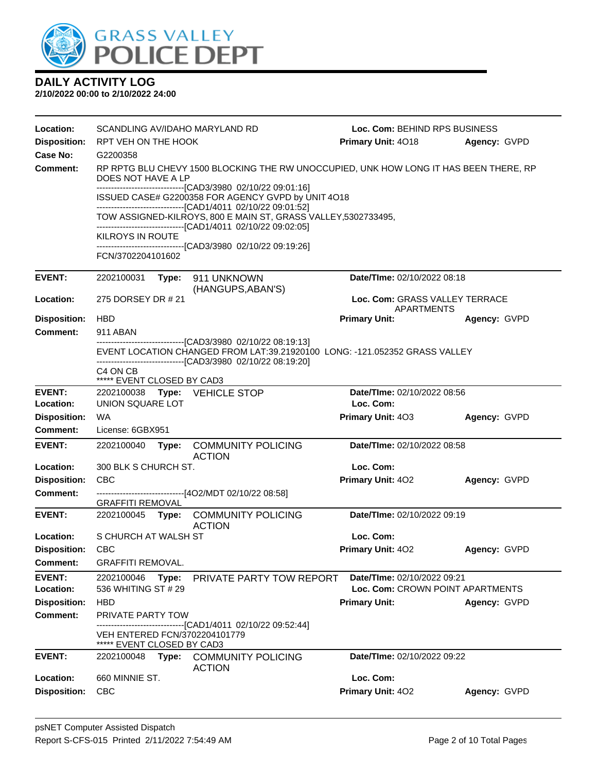

| Location:                  | SCANDLING AV/IDAHO MARYLAND RD                                                                                                                                                               |                                                                                                                                                                                              |                                                             | Loc. Com: BEHIND RPS BUSINESS                                   |              |  |  |
|----------------------------|----------------------------------------------------------------------------------------------------------------------------------------------------------------------------------------------|----------------------------------------------------------------------------------------------------------------------------------------------------------------------------------------------|-------------------------------------------------------------|-----------------------------------------------------------------|--------------|--|--|
| <b>Disposition:</b>        | RPT VEH ON THE HOOK                                                                                                                                                                          |                                                                                                                                                                                              |                                                             | <b>Primary Unit: 4018</b>                                       | Agency: GVPD |  |  |
| Case No:                   | G2200358                                                                                                                                                                                     |                                                                                                                                                                                              |                                                             |                                                                 |              |  |  |
| Comment:                   | RP RPTG BLU CHEVY 1500 BLOCKING THE RW UNOCCUPIED, UNK HOW LONG IT HAS BEEN THERE, RP<br>DOES NOT HAVE A LP                                                                                  |                                                                                                                                                                                              |                                                             |                                                                 |              |  |  |
|                            | --------------------------------[CAD3/3980 02/10/22 09:01:16]<br>ISSUED CASE# G2200358 FOR AGENCY GVPD by UNIT 4O18                                                                          |                                                                                                                                                                                              |                                                             |                                                                 |              |  |  |
|                            | ------------------------------[CAD1/4011 02/10/22 09:01:52]<br>TOW ASSIGNED-KILROYS, 800 E MAIN ST, GRASS VALLEY, 5302733495,<br>------------------------------[CAD1/4011 02/10/22 09:02:05] |                                                                                                                                                                                              |                                                             |                                                                 |              |  |  |
|                            | <b>KILROYS IN ROUTE</b>                                                                                                                                                                      |                                                                                                                                                                                              | ------------------------------[CAD3/3980_02/10/22 09:19:26] |                                                                 |              |  |  |
|                            | FCN/3702204101602                                                                                                                                                                            |                                                                                                                                                                                              |                                                             |                                                                 |              |  |  |
| <b>EVENT:</b>              | 2202100031                                                                                                                                                                                   |                                                                                                                                                                                              | Type: 911 UNKNOWN<br>(HANGUPS, ABAN'S)                      | Date/TIme: 02/10/2022 08:18                                     |              |  |  |
| Location:                  | 275 DORSEY DR # 21                                                                                                                                                                           |                                                                                                                                                                                              |                                                             | Loc. Com: GRASS VALLEY TERRACE<br>APARTMENTS                    |              |  |  |
| <b>Disposition:</b>        | <b>HBD</b>                                                                                                                                                                                   |                                                                                                                                                                                              |                                                             | <b>Primary Unit:</b>                                            | Agency: GVPD |  |  |
| <b>Comment:</b>            | 911 ABAN                                                                                                                                                                                     |                                                                                                                                                                                              |                                                             |                                                                 |              |  |  |
|                            |                                                                                                                                                                                              | --------------------------------[CAD3/3980_02/10/22_08:19:13]<br>EVENT LOCATION CHANGED FROM LAT:39.21920100 LONG: -121.052352 GRASS VALLEY<br>----------------[CAD3/3980 02/10/22 08:19:20] |                                                             |                                                                 |              |  |  |
|                            | C4 ON CB<br>***** EVENT CLOSED BY CAD3                                                                                                                                                       |                                                                                                                                                                                              |                                                             |                                                                 |              |  |  |
| <b>EVENT:</b>              |                                                                                                                                                                                              |                                                                                                                                                                                              | 2202100038 Type: VEHICLE STOP                               | Date/TIme: 02/10/2022 08:56                                     |              |  |  |
| Location:                  | UNION SQUARE LOT                                                                                                                                                                             |                                                                                                                                                                                              |                                                             | Loc. Com:                                                       |              |  |  |
| <b>Disposition:</b>        | WA                                                                                                                                                                                           |                                                                                                                                                                                              |                                                             | <b>Primary Unit: 403</b>                                        | Agency: GVPD |  |  |
| <b>Comment:</b>            | License: 6GBX951                                                                                                                                                                             |                                                                                                                                                                                              |                                                             |                                                                 |              |  |  |
| <b>EVENT:</b>              |                                                                                                                                                                                              |                                                                                                                                                                                              | 2202100040 Type: COMMUNITY POLICING<br><b>ACTION</b>        | Date/TIme: 02/10/2022 08:58                                     |              |  |  |
| Location:                  | 300 BLK S CHURCH ST.                                                                                                                                                                         |                                                                                                                                                                                              |                                                             | Loc. Com:                                                       |              |  |  |
| <b>Disposition:</b>        | <b>CBC</b>                                                                                                                                                                                   |                                                                                                                                                                                              |                                                             | Primary Unit: 402                                               | Agency: GVPD |  |  |
| Comment:                   | <b>GRAFFITI REMOVAL</b>                                                                                                                                                                      |                                                                                                                                                                                              | ------------------------------[4O2/MDT 02/10/22 08:58]      |                                                                 |              |  |  |
| <b>EVENT:</b>              | 2202100045                                                                                                                                                                                   |                                                                                                                                                                                              | Type: COMMUNITY POLICING<br><b>ACTION</b>                   | Date/TIme: 02/10/2022 09:19                                     |              |  |  |
| Location:                  | S CHURCH AT WALSH ST                                                                                                                                                                         |                                                                                                                                                                                              |                                                             | Loc. Com:                                                       |              |  |  |
| <b>Disposition:</b>        | <b>CBC</b>                                                                                                                                                                                   |                                                                                                                                                                                              |                                                             | <b>Primary Unit: 402</b>                                        | Agency: GVPD |  |  |
| <b>Comment:</b>            | <b>GRAFFITI REMOVAL.</b>                                                                                                                                                                     |                                                                                                                                                                                              |                                                             |                                                                 |              |  |  |
| <b>EVENT:</b><br>Location: | 2202100046<br>536 WHITING ST # 29                                                                                                                                                            | Type:                                                                                                                                                                                        | PRIVATE PARTY TOW REPORT                                    | Date/TIme: 02/10/2022 09:21<br>Loc. Com: CROWN POINT APARTMENTS |              |  |  |
| <b>Disposition:</b>        | <b>HBD</b>                                                                                                                                                                                   |                                                                                                                                                                                              |                                                             | <b>Primary Unit:</b>                                            | Agency: GVPD |  |  |
| <b>Comment:</b>            | <b>PRIVATE PARTY TOW</b>                                                                                                                                                                     |                                                                                                                                                                                              |                                                             |                                                                 |              |  |  |
|                            | VEH ENTERED FCN/3702204101779<br>***** EVENT CLOSED BY CAD3                                                                                                                                  |                                                                                                                                                                                              | ----------------[CAD1/4011_02/10/22_09:52:44]               |                                                                 |              |  |  |
| <b>EVENT:</b>              | 2202100048                                                                                                                                                                                   | Type:                                                                                                                                                                                        | <b>COMMUNITY POLICING</b><br><b>ACTION</b>                  | Date/TIme: 02/10/2022 09:22                                     |              |  |  |
| Location:                  | 660 MINNIE ST.                                                                                                                                                                               |                                                                                                                                                                                              |                                                             | Loc. Com:                                                       |              |  |  |
| <b>Disposition:</b>        | <b>CBC</b>                                                                                                                                                                                   |                                                                                                                                                                                              |                                                             | Primary Unit: 402                                               | Agency: GVPD |  |  |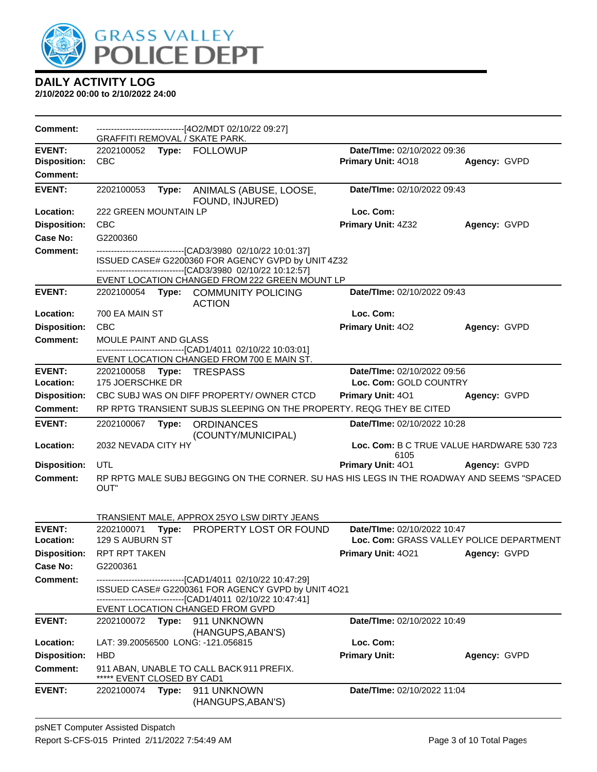

| Comment:            |                                     |       | ------------------------------[4O2/MDT 02/10/22 09:27]<br><b>GRAFFITI REMOVAL / SKATE PARK.</b> |                             |                                           |
|---------------------|-------------------------------------|-------|-------------------------------------------------------------------------------------------------|-----------------------------|-------------------------------------------|
| <b>EVENT:</b>       |                                     |       | 2202100052 Type: FOLLOWUP                                                                       | Date/TIme: 02/10/2022 09:36 |                                           |
| <b>Disposition:</b> | <b>CBC</b>                          |       |                                                                                                 | Primary Unit: 4018          | Agency: GVPD                              |
| <b>Comment:</b>     |                                     |       |                                                                                                 |                             |                                           |
| <b>EVENT:</b>       | 2202100053                          | Type: | ANIMALS (ABUSE, LOOSE,<br>FOUND, INJURED)                                                       | Date/TIme: 02/10/2022 09:43 |                                           |
| Location:           | <b>222 GREEN MOUNTAIN LP</b>        |       |                                                                                                 | Loc. Com:                   |                                           |
| <b>Disposition:</b> | <b>CBC</b>                          |       |                                                                                                 | Primary Unit: 4Z32          | Agency: GVPD                              |
| <b>Case No:</b>     | G2200360                            |       |                                                                                                 |                             |                                           |
| Comment:            |                                     |       | -------------------------------[CAD3/3980 02/10/22 10:01:37]                                    |                             |                                           |
|                     |                                     |       | ISSUED CASE# G2200360 FOR AGENCY GVPD by UNIT 4Z32                                              |                             |                                           |
|                     |                                     |       | -------------------------------[CAD3/3980 02/10/22 10:12:57]                                    |                             |                                           |
| <b>EVENT:</b>       |                                     |       | EVENT LOCATION CHANGED FROM 222 GREEN MOUNT LP<br>2202100054 Type: COMMUNITY POLICING           | Date/TIme: 02/10/2022 09:43 |                                           |
|                     |                                     |       | <b>ACTION</b>                                                                                   |                             |                                           |
| Location:           | 700 EA MAIN ST                      |       |                                                                                                 | Loc. Com:                   |                                           |
| <b>Disposition:</b> | <b>CBC</b>                          |       |                                                                                                 | Primary Unit: 402           | Agency: GVPD                              |
| <b>Comment:</b>     | <b>MOULE PAINT AND GLASS</b>        |       |                                                                                                 |                             |                                           |
|                     |                                     |       | -------------------------------[CAD1/4011 02/10/22 10:03:01]                                    |                             |                                           |
| <b>EVENT:</b>       |                                     |       | EVENT LOCATION CHANGED FROM 700 E MAIN ST.<br>2202100058 Type: TRESPASS                         | Date/TIme: 02/10/2022 09:56 |                                           |
| Location:           | 175 JOERSCHKE DR                    |       |                                                                                                 | Loc. Com: GOLD COUNTRY      |                                           |
| <b>Disposition:</b> |                                     |       | CBC SUBJ WAS ON DIFF PROPERTY/OWNER CTCD                                                        | Primary Unit: 401           | Agency: GVPD                              |
| <b>Comment:</b>     |                                     |       | RP RPTG TRANSIENT SUBJS SLEEPING ON THE PROPERTY. REQG THEY BE CITED                            |                             |                                           |
|                     |                                     |       |                                                                                                 |                             |                                           |
|                     |                                     |       |                                                                                                 |                             |                                           |
| <b>EVENT:</b>       | 2202100067                          |       | Type: ORDINANCES                                                                                | Date/TIme: 02/10/2022 10:28 |                                           |
| Location:           | 2032 NEVADA CITY HY                 |       | (COUNTY/MUNICIPAL)                                                                              |                             | Loc. Com: B C TRUE VALUE HARDWARE 530 723 |
|                     |                                     |       |                                                                                                 | 6105                        |                                           |
| <b>Disposition:</b> | UTL                                 |       |                                                                                                 | Primary Unit: 401           | Agency: GVPD                              |
| <b>Comment:</b>     |                                     |       | RP RPTG MALE SUBJ BEGGING ON THE CORNER. SU HAS HIS LEGS IN THE ROADWAY AND SEEMS "SPACED       |                             |                                           |
|                     | OUT"                                |       |                                                                                                 |                             |                                           |
|                     |                                     |       |                                                                                                 |                             |                                           |
| <b>EVENT:</b>       |                                     |       | TRANSIENT MALE, APPROX 25YO LSW DIRTY JEANS                                                     | Date/TIme: 02/10/2022 10:47 |                                           |
| Location:           | 2202100071 Type:<br>129 S AUBURN ST |       | PROPERTY LOST OR FOUND                                                                          |                             | Loc. Com: GRASS VALLEY POLICE DEPARTMENT  |
| <b>Disposition:</b> | RPT RPT TAKEN                       |       |                                                                                                 | Primary Unit: 4021          | Agency: GVPD                              |
| Case No:            | G2200361                            |       |                                                                                                 |                             |                                           |
| <b>Comment:</b>     |                                     |       | -------------------------------[CAD1/4011 02/10/22 10:47:29]                                    |                             |                                           |
|                     |                                     |       | ISSUED CASE# G2200361 FOR AGENCY GVPD by UNIT 4O21                                              |                             |                                           |
|                     |                                     |       | ------------------------------[CAD1/4011_02/10/22 10:47:41]                                     |                             |                                           |
| <b>EVENT:</b>       |                                     |       | EVENT LOCATION CHANGED FROM GVPD                                                                | Date/TIme: 02/10/2022 10:49 |                                           |
|                     |                                     |       | 2202100072 Type: 911 UNKNOWN<br>(HANGUPS, ABAN'S)                                               |                             |                                           |
| Location:           |                                     |       | LAT: 39.20056500 LONG: -121.056815                                                              | Loc. Com:                   |                                           |
| <b>Disposition:</b> | <b>HBD</b>                          |       |                                                                                                 | <b>Primary Unit:</b>        | Agency: GVPD                              |
| <b>Comment:</b>     |                                     |       | 911 ABAN, UNABLE TO CALL BACK 911 PREFIX.                                                       |                             |                                           |
|                     | ***** EVENT CLOSED BY CAD1          |       |                                                                                                 |                             |                                           |
| <b>EVENT:</b>       |                                     |       | 2202100074 Type: 911 UNKNOWN<br>(HANGUPS, ABAN'S)                                               | Date/TIme: 02/10/2022 11:04 |                                           |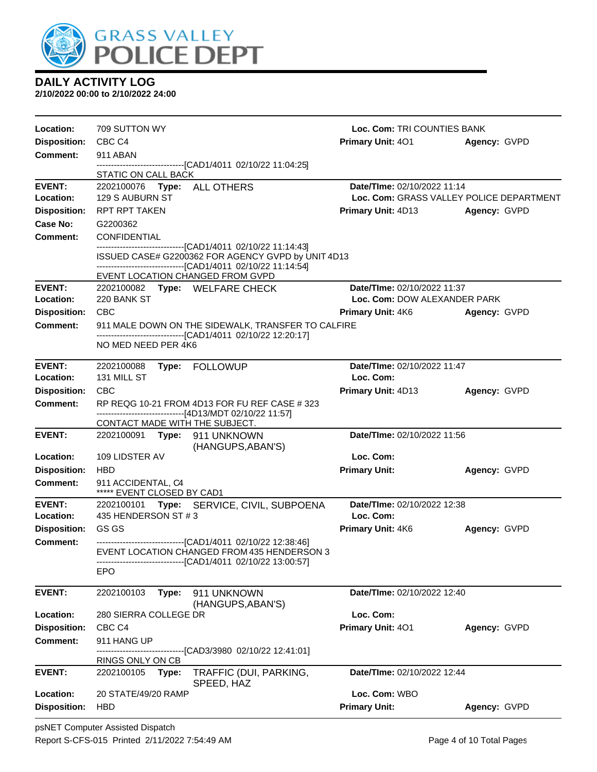

| Location:                              | 709 SUTTON WY                                                                                                        | Loc. Com: TRI COUNTIES BANK              |              |  |  |
|----------------------------------------|----------------------------------------------------------------------------------------------------------------------|------------------------------------------|--------------|--|--|
| <b>Disposition:</b>                    | CBC C4                                                                                                               | <b>Primary Unit: 401</b>                 | Agency: GVPD |  |  |
| Comment:                               | 911 ABAN                                                                                                             |                                          |              |  |  |
|                                        | ------------------------------[CAD1/4011 02/10/22 11:04:25]<br>STATIC ON CALL BACK                                   |                                          |              |  |  |
| <b>EVENT:</b>                          | 2202100076    Type: ALL OTHERS                                                                                       | Date/TIme: 02/10/2022 11:14              |              |  |  |
| Location:                              | 129 S AUBURN ST                                                                                                      | Loc. Com: GRASS VALLEY POLICE DEPARTMENT |              |  |  |
| <b>Disposition:</b>                    | <b>RPT RPT TAKEN</b>                                                                                                 | <b>Primary Unit: 4D13 Agency: GVPD</b>   |              |  |  |
| Case No:                               | G2200362                                                                                                             |                                          |              |  |  |
| <b>Comment:</b>                        | <b>CONFIDENTIAL</b>                                                                                                  |                                          |              |  |  |
|                                        | ---------------------------------[CAD1/4011 02/10/22 11:14:43]<br>ISSUED CASE# G2200362 FOR AGENCY GVPD by UNIT 4D13 |                                          |              |  |  |
|                                        | --------------------------------[CAD1/4011 02/10/22 11:14:54]                                                        |                                          |              |  |  |
|                                        | EVENT LOCATION CHANGED FROM GVPD                                                                                     |                                          |              |  |  |
| <b>EVENT:</b>                          | 2202100082 Type: WELFARE CHECK                                                                                       | Date/TIme: 02/10/2022 11:37              |              |  |  |
| Location:                              | 220 BANK ST                                                                                                          | Loc. Com: DOW ALEXANDER PARK             |              |  |  |
| <b>Disposition:</b><br><b>Comment:</b> | <b>CBC</b><br>911 MALE DOWN ON THE SIDEWALK, TRANSFER TO CALFIRE                                                     | <b>Primary Unit: 4K6</b>                 | Agency: GVPD |  |  |
|                                        | -------------------------------[CAD1/4011 02/10/22 12:20:17]                                                         |                                          |              |  |  |
|                                        | NO MED NEED PER 4K6                                                                                                  |                                          |              |  |  |
| <b>EVENT:</b>                          | 2202100088<br>Type: FOLLOWUP                                                                                         | Date/TIme: 02/10/2022 11:47              |              |  |  |
| Location:                              | 131 MILL ST                                                                                                          | Loc. Com:                                |              |  |  |
| <b>Disposition:</b>                    | <b>CBC</b>                                                                                                           | <b>Primary Unit: 4D13</b>                | Agency: GVPD |  |  |
| <b>Comment:</b>                        | RP REQG 10-21 FROM 4D13 FOR FU REF CASE # 323                                                                        |                                          |              |  |  |
|                                        | ------------------------------[4D13/MDT 02/10/22 11:57]                                                              |                                          |              |  |  |
| <b>EVENT:</b>                          | CONTACT MADE WITH THE SUBJECT.<br>2202100091 Type: 911 UNKNOWN                                                       | Date/TIme: 02/10/2022 11:56              |              |  |  |
|                                        | (HANGUPS, ABAN'S)                                                                                                    |                                          |              |  |  |
| Location:                              | 109 LIDSTER AV                                                                                                       | Loc. Com:                                |              |  |  |
| <b>Disposition:</b>                    | <b>HBD</b>                                                                                                           | <b>Primary Unit:</b>                     | Agency: GVPD |  |  |
| <b>Comment:</b>                        | 911 ACCIDENTAL, C4<br>***** EVENT CLOSED BY CAD1                                                                     |                                          |              |  |  |
| <b>EVENT:</b>                          | 2202100101 Type: SERVICE, CIVIL, SUBPOENA                                                                            | Date/TIme: 02/10/2022 12:38              |              |  |  |
| Location:                              | 435 HENDERSON ST #3                                                                                                  | Loc. Com:                                |              |  |  |
| <b>Disposition:</b>                    | GS GS                                                                                                                | <b>Primary Unit: 4K6</b>                 | Agency: GVPD |  |  |
| <b>Comment:</b>                        | -------------------------------[CAD1/4011 02/10/22 12:38:46]<br>EVENT LOCATION CHANGED FROM 435 HENDERSON 3          |                                          |              |  |  |
|                                        | ---------------------------------[CAD1/4011 02/10/22 13:00:57]                                                       |                                          |              |  |  |
|                                        | EPO                                                                                                                  |                                          |              |  |  |
| <b>EVENT:</b>                          | 2202100103<br>Type:<br>911 UNKNOWN                                                                                   | Date/TIme: 02/10/2022 12:40              |              |  |  |
|                                        | (HANGUPS, ABAN'S)                                                                                                    |                                          |              |  |  |
| Location:                              | 280 SIERRA COLLEGE DR                                                                                                | Loc. Com:                                |              |  |  |
| <b>Disposition:</b>                    | CBC C4                                                                                                               | Primary Unit: 401                        | Agency: GVPD |  |  |
| Comment:                               | 911 HANG UP<br>-------------------------[CAD3/3980_02/10/22 12:41:01]                                                |                                          |              |  |  |
|                                        | RINGS ONLY ON CB                                                                                                     |                                          |              |  |  |
| <b>EVENT:</b>                          | TRAFFIC (DUI, PARKING,<br>2202100105<br>Type:<br>SPEED, HAZ                                                          | Date/TIme: 02/10/2022 12:44              |              |  |  |
| Location:                              | 20 STATE/49/20 RAMP                                                                                                  | Loc. Com: WBO                            |              |  |  |
| <b>Disposition:</b>                    | HBD                                                                                                                  | <b>Primary Unit:</b>                     | Agency: GVPD |  |  |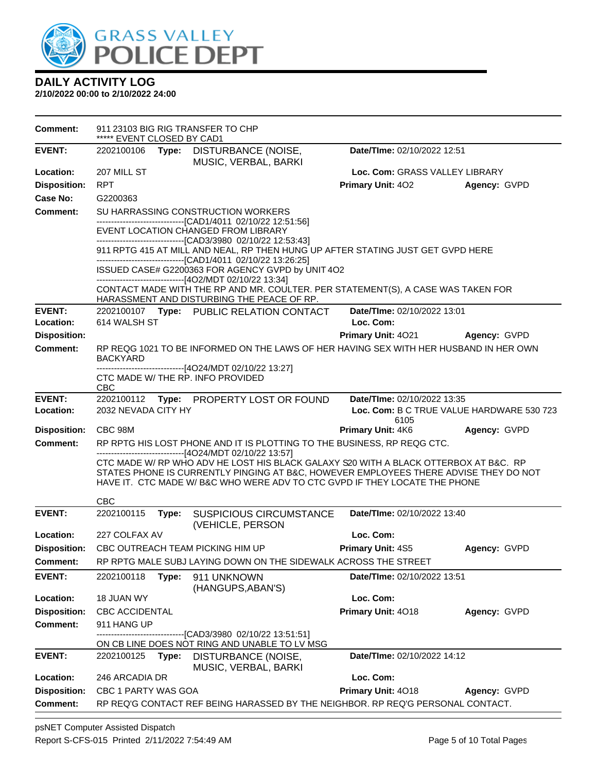

| <b>EVENT:</b><br>Date/TIme: 02/10/2022 12:51<br>2202100106<br>DISTURBANCE (NOISE,<br>Type:<br>MUSIC, VERBAL, BARKI<br>207 MILL ST<br>Location:<br>Loc. Com: GRASS VALLEY LIBRARY<br><b>RPT</b><br><b>Disposition:</b><br><b>Primary Unit: 402</b><br>Agency: GVPD |  |
|-------------------------------------------------------------------------------------------------------------------------------------------------------------------------------------------------------------------------------------------------------------------|--|
|                                                                                                                                                                                                                                                                   |  |
|                                                                                                                                                                                                                                                                   |  |
|                                                                                                                                                                                                                                                                   |  |
| Case No:<br>G2200363                                                                                                                                                                                                                                              |  |
| <b>Comment:</b><br>SU HARRASSING CONSTRUCTION WORKERS                                                                                                                                                                                                             |  |
| -------------------------------[CAD1/4011 02/10/22 12:51:56]<br>EVENT LOCATION CHANGED FROM LIBRARY                                                                                                                                                               |  |
| -------------------------------[CAD3/3980_02/10/22 12:53:43]                                                                                                                                                                                                      |  |
| 911 RPTG 415 AT MILL AND NEAL, RP THEN HUNG UP AFTER STATING JUST GET GVPD HERE<br>-------------------------------[CAD1/4011 02/10/22 13:26:25]                                                                                                                   |  |
| ISSUED CASE# G2200363 FOR AGENCY GVPD by UNIT 4O2                                                                                                                                                                                                                 |  |
| ------------------------------[4O2/MDT 02/10/22 13:34]                                                                                                                                                                                                            |  |
| CONTACT MADE WITH THE RP AND MR. COULTER. PER STATEMENT(S), A CASE WAS TAKEN FOR<br>HARASSMENT AND DISTURBING THE PEACE OF RP.                                                                                                                                    |  |
| <b>EVENT:</b><br>Date/TIme: 02/10/2022 13:01<br>2202100107 Type: PUBLIC RELATION CONTACT                                                                                                                                                                          |  |
| 614 WALSH ST<br>Loc. Com:<br>Location:                                                                                                                                                                                                                            |  |
| <b>Disposition:</b><br><b>Primary Unit: 4021</b><br>Agency: GVPD                                                                                                                                                                                                  |  |
| RP REQG 1021 TO BE INFORMED ON THE LAWS OF HER HAVING SEX WITH HER HUSBAND IN HER OWN<br><b>Comment:</b><br><b>BACKYARD</b>                                                                                                                                       |  |
| ----------------------------[4O24/MDT 02/10/22 13:27]                                                                                                                                                                                                             |  |
| CTC MADE W/ THE RP. INFO PROVIDED<br><b>CBC</b>                                                                                                                                                                                                                   |  |
| <b>EVENT:</b><br>2202100112<br>Date/TIme: 02/10/2022 13:35<br>PROPERTY LOST OR FOUND<br>Type:                                                                                                                                                                     |  |
| Location:<br>2032 NEVADA CITY HY<br>Loc. Com: B C TRUE VALUE HARDWARE 530 723                                                                                                                                                                                     |  |
| 6105<br>Primary Unit: 4K6<br>Agency: GVPD<br><b>Disposition:</b><br>CBC 98M                                                                                                                                                                                       |  |
| <b>Comment:</b><br>RP RPTG HIS LOST PHONE AND IT IS PLOTTING TO THE BUSINESS, RP REQG CTC.                                                                                                                                                                        |  |
| -------------------------------[4O24/MDT 02/10/22 13:57]<br>CTC MADE W/ RP WHO ADV HE LOST HIS BLACK GALAXY S20 WITH A BLACK OTTERBOX AT B&C. RP                                                                                                                  |  |
| STATES PHONE IS CURRENTLY PINGING AT B&C, HOWEVER EMPLOYEES THERE ADVISE THEY DO NOT                                                                                                                                                                              |  |
| HAVE IT. CTC MADE W/B&C WHO WERE ADV TO CTC GVPD IF THEY LOCATE THE PHONE                                                                                                                                                                                         |  |
| <b>CBC</b>                                                                                                                                                                                                                                                        |  |
| <b>EVENT:</b><br>2202100115<br>Date/TIme: 02/10/2022 13:40<br>Type:<br><b>SUSPICIOUS CIRCUMSTANCE</b><br>(VEHICLE, PERSON                                                                                                                                         |  |
| Location:<br>227 COLFAX AV<br>Loc. Com:                                                                                                                                                                                                                           |  |
| <b>Disposition:</b><br>CBC OUTREACH TEAM PICKING HIM UP<br>Primary Unit: 4S5<br>Agency: GVPD                                                                                                                                                                      |  |
| RP RPTG MALE SUBJ LAYING DOWN ON THE SIDEWALK ACROSS THE STREET<br><b>Comment:</b>                                                                                                                                                                                |  |
| <b>EVENT:</b><br>2202100118<br>Type:<br>Date/TIme: 02/10/2022 13:51<br>911 UNKNOWN<br>(HANGUPS, ABAN'S)                                                                                                                                                           |  |
| 18 JUAN WY<br>Loc. Com:<br>Location:                                                                                                                                                                                                                              |  |
| Primary Unit: 4018<br><b>Disposition:</b><br><b>CBC ACCIDENTAL</b><br>Agency: GVPD                                                                                                                                                                                |  |
| <b>Comment:</b><br>911 HANG UP                                                                                                                                                                                                                                    |  |
| ----------[CAD3/3980 02/10/22 13:51:51]<br>ON CB LINE DOES NOT RING AND UNABLE TO LV MSG                                                                                                                                                                          |  |
| <b>EVENT:</b><br>Date/TIme: 02/10/2022 14:12<br>2202100125<br>Type:<br>DISTURBANCE (NOISE,<br>MUSIC, VERBAL, BARKI                                                                                                                                                |  |
| Loc. Com:<br>Location:<br>246 ARCADIA DR                                                                                                                                                                                                                          |  |
| <b>Disposition:</b><br>CBC 1 PARTY WAS GOA<br>Primary Unit: 4018<br>Agency: GVPD                                                                                                                                                                                  |  |
| RP REQ'G CONTACT REF BEING HARASSED BY THE NEIGHBOR. RP REQ'G PERSONAL CONTACT.<br><b>Comment:</b>                                                                                                                                                                |  |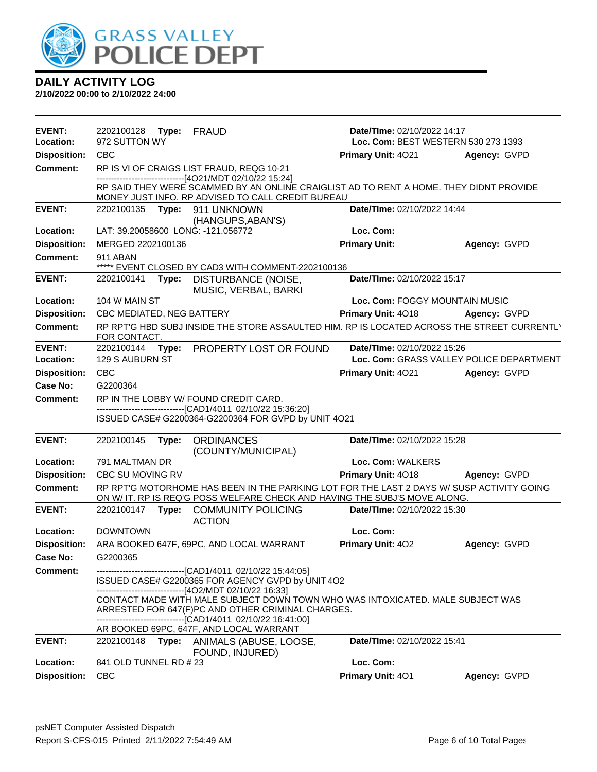

| <b>EVENT:</b>                    | 2202100128 Type:                     |       | FRAUD                                                                                                                                                                                                                                                            | Date/TIme: 02/10/2022 14:17         |                                          |  |
|----------------------------------|--------------------------------------|-------|------------------------------------------------------------------------------------------------------------------------------------------------------------------------------------------------------------------------------------------------------------------|-------------------------------------|------------------------------------------|--|
| Location:                        | 972 SUTTON WY                        |       |                                                                                                                                                                                                                                                                  | Loc. Com: BEST WESTERN 530 273 1393 |                                          |  |
| <b>Disposition:</b>              | <b>CBC</b>                           |       |                                                                                                                                                                                                                                                                  | Primary Unit: 4021                  | Agency: GVPD                             |  |
| <b>Comment:</b>                  |                                      |       | RP IS VI OF CRAIGS LIST FRAUD, REQG 10-21                                                                                                                                                                                                                        |                                     |                                          |  |
|                                  |                                      |       | ------------------------------[4O21/MDT 02/10/22 15:24]<br>RP SAID THEY WERE SCAMMED BY AN ONLINE CRAIGLIST AD TO RENT A HOME. THEY DIDNT PROVIDE<br>MONEY JUST INFO. RP ADVISED TO CALL CREDIT BUREAU                                                           |                                     |                                          |  |
| <b>EVENT:</b>                    | 2202100135                           | Type: | 911 UNKNOWN<br>(HANGUPS, ABAN'S)                                                                                                                                                                                                                                 | Date/TIme: 02/10/2022 14:44         |                                          |  |
| Location:                        |                                      |       | LAT: 39.20058600 LONG: -121.056772                                                                                                                                                                                                                               | Loc. Com:                           |                                          |  |
| <b>Disposition:</b>              | MERGED 2202100136                    |       |                                                                                                                                                                                                                                                                  | <b>Primary Unit:</b>                | Agency: GVPD                             |  |
| <b>Comment:</b>                  | 911 ABAN                             |       | ***** EVENT CLOSED BY CAD3 WITH COMMENT-2202100136                                                                                                                                                                                                               |                                     |                                          |  |
| <b>EVENT:</b>                    | 2202100141                           | Type: | DISTURBANCE (NOISE,<br>MUSIC, VERBAL, BARKI                                                                                                                                                                                                                      | Date/TIme: 02/10/2022 15:17         |                                          |  |
| Location:                        | 104 W MAIN ST                        |       |                                                                                                                                                                                                                                                                  | Loc. Com: FOGGY MOUNTAIN MUSIC      |                                          |  |
| <b>Disposition:</b>              | CBC MEDIATED, NEG BATTERY            |       |                                                                                                                                                                                                                                                                  | Primary Unit: 4018                  | Agency: GVPD                             |  |
| <b>Comment:</b>                  | FOR CONTACT.                         |       | RP RPT'G HBD SUBJ INSIDE THE STORE ASSAULTED HIM. RP IS LOCATED ACROSS THE STREET CURRENTLY                                                                                                                                                                      |                                     |                                          |  |
| <b>EVENT:</b>                    | 2202100144                           | Type: | PROPERTY LOST OR FOUND                                                                                                                                                                                                                                           | Date/TIme: 02/10/2022 15:26         |                                          |  |
| Location:                        | 129 S AUBURN ST                      |       |                                                                                                                                                                                                                                                                  |                                     | Loc. Com: GRASS VALLEY POLICE DEPARTMENT |  |
| <b>Disposition:</b>              | <b>CBC</b>                           |       |                                                                                                                                                                                                                                                                  | Primary Unit: 4021                  | Agency: GVPD                             |  |
| Case No:                         | G2200364                             |       |                                                                                                                                                                                                                                                                  |                                     |                                          |  |
| <b>Comment:</b>                  |                                      |       | RP IN THE LOBBY W/FOUND CREDIT CARD.                                                                                                                                                                                                                             |                                     |                                          |  |
|                                  |                                      |       | -------------------------------[CAD1/4011 02/10/22 15:36:20]<br>ISSUED CASE# G2200364-G2200364 FOR GVPD by UNIT 4O21                                                                                                                                             |                                     |                                          |  |
| <b>EVENT:</b>                    | 2202100145                           | Type: | <b>ORDINANCES</b>                                                                                                                                                                                                                                                | Date/TIme: 02/10/2022 15:28         |                                          |  |
| Location:                        | 791 MALTMAN DR                       |       | (COUNTY/MUNICIPAL)                                                                                                                                                                                                                                               | Loc. Com: WALKERS                   |                                          |  |
| <b>Disposition:</b>              | CBC SU MOVING RV                     |       |                                                                                                                                                                                                                                                                  | Primary Unit: 4018                  | Agency: GVPD                             |  |
| <b>Comment:</b>                  |                                      |       | RP RPT'G MOTORHOME HAS BEEN IN THE PARKING LOT FOR THE LAST 2 DAYS W/ SUSP ACTIVITY GOING<br>ON W/ IT. RP IS REQ'G POSS WELFARE CHECK AND HAVING THE SUBJ'S MOVE ALONG.                                                                                          |                                     |                                          |  |
| <b>EVENT:</b>                    | 2202100147 Type:                     |       | <b>COMMUNITY POLICING</b><br><b>ACTION</b>                                                                                                                                                                                                                       | Date/TIme: 02/10/2022 15:30         |                                          |  |
| Location:                        | <b>DOWNTOWN</b>                      |       |                                                                                                                                                                                                                                                                  | Loc. Com:                           |                                          |  |
| <b>Disposition:</b>              |                                      |       | ARA BOOKED 647F, 69PC, AND LOCAL WARRANT                                                                                                                                                                                                                         | Primary Unit: 402                   | Agency: GVPD                             |  |
| Case No:                         | G2200365                             |       |                                                                                                                                                                                                                                                                  |                                     |                                          |  |
| <b>Comment:</b>                  |                                      |       | --------------------------------[CAD1/4011_02/10/22_15:44:05]<br>ISSUED CASE# G2200365 FOR AGENCY GVPD by UNIT 4O2                                                                                                                                               |                                     |                                          |  |
|                                  |                                      |       | ---------------------------------[4O2/MDT 02/10/22 16:33]<br>CONTACT MADE WITH MALE SUBJECT DOWN TOWN WHO WAS INTOXICATED. MALE SUBJECT WAS<br>ARRESTED FOR 647(F)PC AND OTHER CRIMINAL CHARGES.<br>-------------------------------[CAD1/4011 02/10/22 16:41:00] |                                     |                                          |  |
|                                  |                                      |       | AR BOOKED 69PC, 647F, AND LOCAL WARRANT                                                                                                                                                                                                                          |                                     |                                          |  |
| <b>EVENT:</b>                    | 2202100148                           | Type: | ANIMALS (ABUSE, LOOSE,<br>FOUND, INJURED)                                                                                                                                                                                                                        | Date/TIme: 02/10/2022 15:41         |                                          |  |
| Location:<br><b>Disposition:</b> | 841 OLD TUNNEL RD # 23<br><b>CBC</b> |       |                                                                                                                                                                                                                                                                  | Loc. Com:<br>Primary Unit: 401      | Agency: GVPD                             |  |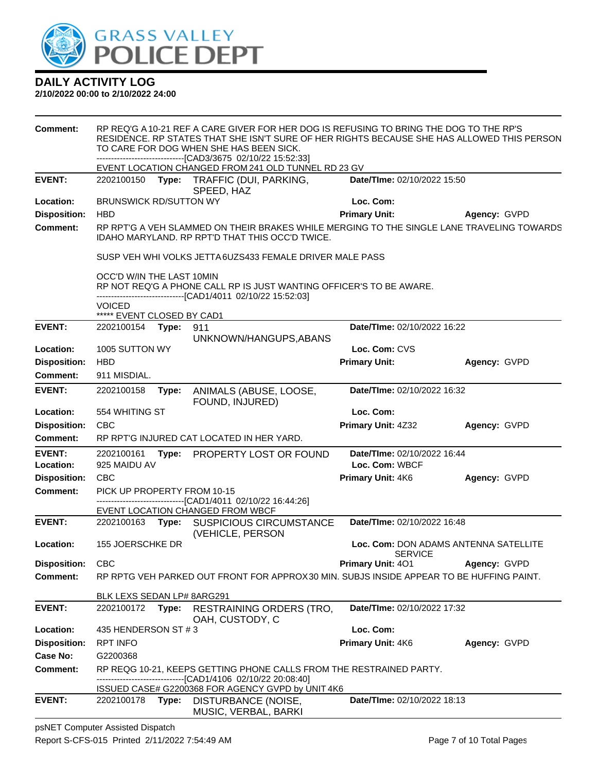

#### **2/10/2022 00:00 to 2/10/2022 24:00**

| <b>Comment:</b>     | RP REQ'G A 10-21 REF A CARE GIVER FOR HER DOG IS REFUSING TO BRING THE DOG TO THE RP'S<br>RESIDENCE. RP STATES THAT SHE ISN'T SURE OF HER RIGHTS BECAUSE SHE HAS ALLOWED THIS PERSON<br>TO CARE FOR DOG WHEN SHE HAS BEEN SICK.<br>--------------------------------[CAD3/3675 02/10/22 15:52:33] |       |                                                                                                                                              |                                                                     |                                       |
|---------------------|--------------------------------------------------------------------------------------------------------------------------------------------------------------------------------------------------------------------------------------------------------------------------------------------------|-------|----------------------------------------------------------------------------------------------------------------------------------------------|---------------------------------------------------------------------|---------------------------------------|
|                     |                                                                                                                                                                                                                                                                                                  |       | EVENT LOCATION CHANGED FROM 241 OLD TUNNEL RD 23 GV                                                                                          |                                                                     |                                       |
| <b>EVENT:</b>       |                                                                                                                                                                                                                                                                                                  |       | 2202100150 Type: TRAFFIC (DUI, PARKING,<br>SPEED, HAZ                                                                                        | Date/TIme: 02/10/2022 15:50                                         |                                       |
| Location:           | <b>BRUNSWICK RD/SUTTON WY</b>                                                                                                                                                                                                                                                                    |       |                                                                                                                                              | Loc. Com:                                                           |                                       |
| <b>Disposition:</b> | <b>HBD</b>                                                                                                                                                                                                                                                                                       |       |                                                                                                                                              | <b>Primary Unit:</b>                                                | Agency: GVPD                          |
| <b>Comment:</b>     |                                                                                                                                                                                                                                                                                                  |       | RP RPT'G A VEH SLAMMED ON THEIR BRAKES WHILE MERGING TO THE SINGLE LANE TRAVELING TOWARDS<br>IDAHO MARYLAND. RP RPT'D THAT THIS OCC'D TWICE. |                                                                     |                                       |
|                     |                                                                                                                                                                                                                                                                                                  |       | SUSP VEH WHI VOLKS JETTA 6UZS433 FEMALE DRIVER MALE PASS                                                                                     |                                                                     |                                       |
|                     | OCC'D W/IN THE LAST 10MIN                                                                                                                                                                                                                                                                        |       | -------------------------------[CAD1/4011 02/10/22 15:52:03]                                                                                 | RP NOT REQ'G A PHONE CALL RP IS JUST WANTING OFFICER'S TO BE AWARE. |                                       |
|                     | <b>VOICED</b>                                                                                                                                                                                                                                                                                    |       |                                                                                                                                              |                                                                     |                                       |
| <b>EVENT:</b>       | ***** EVENT CLOSED BY CAD1<br>2202100154                                                                                                                                                                                                                                                         | Type: | 911                                                                                                                                          | Date/TIme: 02/10/2022 16:22                                         |                                       |
|                     |                                                                                                                                                                                                                                                                                                  |       | UNKNOWN/HANGUPS, ABANS                                                                                                                       |                                                                     |                                       |
| Location:           | 1005 SUTTON WY                                                                                                                                                                                                                                                                                   |       |                                                                                                                                              | Loc. Com: CVS                                                       |                                       |
| <b>Disposition:</b> | <b>HBD</b>                                                                                                                                                                                                                                                                                       |       |                                                                                                                                              | <b>Primary Unit:</b>                                                | Agency: GVPD                          |
| Comment:            | 911 MISDIAL.                                                                                                                                                                                                                                                                                     |       |                                                                                                                                              |                                                                     |                                       |
| <b>EVENT:</b>       | Date/TIme: 02/10/2022 16:32<br>2202100158<br>Type:<br>ANIMALS (ABUSE, LOOSE,<br>FOUND, INJURED)                                                                                                                                                                                                  |       |                                                                                                                                              |                                                                     |                                       |
| Location:           | 554 WHITING ST                                                                                                                                                                                                                                                                                   |       |                                                                                                                                              | Loc. Com:                                                           |                                       |
| <b>Disposition:</b> | CBC                                                                                                                                                                                                                                                                                              |       |                                                                                                                                              | Primary Unit: 4Z32                                                  | Agency: GVPD                          |
| Comment:            |                                                                                                                                                                                                                                                                                                  |       | RP RPT'G INJURED CAT LOCATED IN HER YARD.                                                                                                    |                                                                     |                                       |
| <b>EVENT:</b>       | 2202100161                                                                                                                                                                                                                                                                                       |       | Type: PROPERTY LOST OR FOUND                                                                                                                 | Date/TIme: 02/10/2022 16:44                                         |                                       |
| Location:           | 925 MAIDU AV                                                                                                                                                                                                                                                                                     |       |                                                                                                                                              | Loc. Com: WBCF                                                      |                                       |
| <b>Disposition:</b> | <b>CBC</b>                                                                                                                                                                                                                                                                                       |       |                                                                                                                                              | Primary Unit: 4K6                                                   | Agency: GVPD                          |
| <b>Comment:</b>     | PICK UP PROPERTY FROM 10-15                                                                                                                                                                                                                                                                      |       | ---------------------[CAD1/4011_02/10/22_16:44:26]                                                                                           |                                                                     |                                       |
|                     |                                                                                                                                                                                                                                                                                                  |       | EVENT LOCATION CHANGED FROM WBCF                                                                                                             |                                                                     |                                       |
| <b>EVENT:</b>       | 2202100163                                                                                                                                                                                                                                                                                       | Type: | <b>SUSPICIOUS CIRCUMSTANCE</b><br>(VEHICLE, PERSON                                                                                           | Date/TIme: 02/10/2022 16:48                                         |                                       |
| Location:           | 155 JOERSCHKE DR                                                                                                                                                                                                                                                                                 |       |                                                                                                                                              | <b>SERVICE</b>                                                      | Loc. Com: DON ADAMS ANTENNA SATELLITE |
| <b>Disposition:</b> | <b>CBC</b>                                                                                                                                                                                                                                                                                       |       |                                                                                                                                              | Primary Unit: 401                                                   | Agency: GVPD                          |
| Comment:            |                                                                                                                                                                                                                                                                                                  |       | RP RPTG VEH PARKED OUT FRONT FOR APPROX30 MIN. SUBJS INSIDE APPEAR TO BE HUFFING PAINT.                                                      |                                                                     |                                       |
|                     | BLK LEXS SEDAN LP# 8ARG291                                                                                                                                                                                                                                                                       |       |                                                                                                                                              |                                                                     |                                       |
| <b>EVENT:</b>       | 2202100172                                                                                                                                                                                                                                                                                       | Type: | <b>RESTRAINING ORDERS (TRO,</b><br>OAH, CUSTODY, C                                                                                           | Date/TIme: 02/10/2022 17:32                                         |                                       |
| Location:           | 435 HENDERSON ST #3                                                                                                                                                                                                                                                                              |       |                                                                                                                                              | Loc. Com:                                                           |                                       |
| <b>Disposition:</b> | <b>RPT INFO</b>                                                                                                                                                                                                                                                                                  |       |                                                                                                                                              | Primary Unit: 4K6                                                   | Agency: GVPD                          |
| Case No:            | G2200368                                                                                                                                                                                                                                                                                         |       |                                                                                                                                              |                                                                     |                                       |
| Comment:            |                                                                                                                                                                                                                                                                                                  |       | RP REQG 10-21, KEEPS GETTING PHONE CALLS FROM THE RESTRAINED PARTY.<br>------------------------------[CAD1/4106_02/10/22 20:08:40]           |                                                                     |                                       |
|                     |                                                                                                                                                                                                                                                                                                  |       | ISSUED CASE# G2200368 FOR AGENCY GVPD by UNIT 4K6                                                                                            |                                                                     |                                       |
| <b>EVENT:</b>       | 2202100178                                                                                                                                                                                                                                                                                       |       | Type: DISTURBANCE (NOISE,<br>MUSIC, VERBAL, BARKI                                                                                            | <b>Date/Time: 02/10/2022 18:13</b>                                  |                                       |

psNET Computer Assisted Dispatch Report S-CFS-015 Printed 2/11/2022 7:54:49 AM Page 7 of 10 Total Pages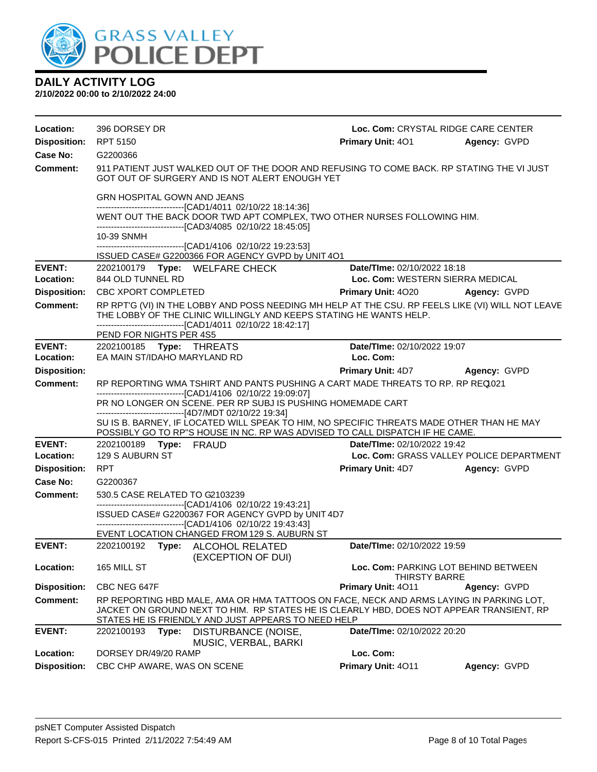

| Location:                  | 396 DORSEY DR                                                                                                                               | Loc. Com: CRYSTAL RIDGE CARE CENTER                                                                                                                                                                                                        |                                                       |              |  |  |
|----------------------------|---------------------------------------------------------------------------------------------------------------------------------------------|--------------------------------------------------------------------------------------------------------------------------------------------------------------------------------------------------------------------------------------------|-------------------------------------------------------|--------------|--|--|
| <b>Disposition:</b>        | <b>RPT 5150</b>                                                                                                                             |                                                                                                                                                                                                                                            | <b>Primary Unit: 401</b>                              | Agency: GVPD |  |  |
| Case No:                   | G2200366                                                                                                                                    |                                                                                                                                                                                                                                            |                                                       |              |  |  |
| <b>Comment:</b>            | 911 PATIENT JUST WALKED OUT OF THE DOOR AND REFUSING TO COME BACK. RP STATING THE VI JUST<br>GOT OUT OF SURGERY AND IS NOT ALERT ENOUGH YET |                                                                                                                                                                                                                                            |                                                       |              |  |  |
|                            | <b>GRN HOSPITAL GOWN AND JEANS</b><br>-------------------------------[CAD1/4011_02/10/22_18:14:36]                                          |                                                                                                                                                                                                                                            |                                                       |              |  |  |
|                            | WENT OUT THE BACK DOOR TWD APT COMPLEX, TWO OTHER NURSES FOLLOWING HIM.                                                                     |                                                                                                                                                                                                                                            |                                                       |              |  |  |
|                            | 10-39 SNMH                                                                                                                                  | -------------------------------[CAD3/4085 02/10/22 18:45:05]                                                                                                                                                                               |                                                       |              |  |  |
|                            |                                                                                                                                             | -------------------------------[CAD1/4106 02/10/22 19:23:53]                                                                                                                                                                               |                                                       |              |  |  |
| <b>EVENT:</b>              | 2202100179 Type: WELFARE CHECK                                                                                                              | ISSUED CASE# G2200366 FOR AGENCY GVPD by UNIT 4O1                                                                                                                                                                                          | Date/TIme: 02/10/2022 18:18                           |              |  |  |
| Location:                  | 844 OLD TUNNEL RD                                                                                                                           |                                                                                                                                                                                                                                            | Loc. Com: WESTERN SIERRA MEDICAL                      |              |  |  |
| <b>Disposition:</b>        | CBC XPORT COMPLETED                                                                                                                         |                                                                                                                                                                                                                                            | <b>Primary Unit: 4020</b>                             | Agency: GVPD |  |  |
| <b>Comment:</b>            |                                                                                                                                             | RP RPT'G (VI) IN THE LOBBY AND POSS NEEDING MH HELP AT THE CSU. RP FEELS LIKE (VI) WILL NOT LEAVE<br>THE LOBBY OF THE CLINIC WILLINGLY AND KEEPS STATING HE WANTS HELP.<br>-------------------------------[CAD1/4011 02/10/22 18:42:17]    |                                                       |              |  |  |
|                            | PEND FOR NIGHTS PER 4S5                                                                                                                     |                                                                                                                                                                                                                                            |                                                       |              |  |  |
| <b>EVENT:</b><br>Location: | 2202100185 Type: THREATS<br>EA MAIN ST/IDAHO MARYLAND RD                                                                                    |                                                                                                                                                                                                                                            | Date/TIme: 02/10/2022 19:07<br>Loc. Com:              |              |  |  |
| <b>Disposition:</b>        |                                                                                                                                             |                                                                                                                                                                                                                                            | <b>Primary Unit: 4D7</b>                              | Agency: GVPD |  |  |
| <b>Comment:</b>            |                                                                                                                                             | RP REPORTING WMA TSHIRT AND PANTS PUSHING A CART MADE THREATS TO RP. RP REQ021                                                                                                                                                             |                                                       |              |  |  |
|                            |                                                                                                                                             | -------------------------------[CAD1/4106 02/10/22 19:09:07]                                                                                                                                                                               |                                                       |              |  |  |
|                            |                                                                                                                                             | PR NO LONGER ON SCENE. PER RP SUBJ IS PUSHING HOMEMADE CART<br>------------------------------[4D7/MDT 02/10/22 19:34]                                                                                                                      |                                                       |              |  |  |
|                            |                                                                                                                                             | SU IS B. BARNEY, IF LOCATED WILL SPEAK TO HIM, NO SPECIFIC THREATS MADE OTHER THAN HE MAY<br>POSSIBLY GO TO RP"S HOUSE IN NC. RP WAS ADVISED TO CALL DISPATCH IF HE CAME.                                                                  |                                                       |              |  |  |
| <b>EVENT:</b>              |                                                                                                                                             |                                                                                                                                                                                                                                            | Date/TIme: 02/10/2022 19:42                           |              |  |  |
| Location:                  | 129 S AUBURN ST                                                                                                                             |                                                                                                                                                                                                                                            | Loc. Com: GRASS VALLEY POLICE DEPARTMENT              |              |  |  |
| <b>Disposition:</b>        | <b>RPT</b>                                                                                                                                  |                                                                                                                                                                                                                                            | <b>Primary Unit: 4D7</b>                              | Agency: GVPD |  |  |
| Case No:                   | G2200367                                                                                                                                    |                                                                                                                                                                                                                                            |                                                       |              |  |  |
| Comment:                   | 530.5 CASE RELATED TO G2103239                                                                                                              | -------------------------------[CAD1/4106 02/10/22 19:43:21]                                                                                                                                                                               |                                                       |              |  |  |
|                            | ISSUED CASE# G2200367 FOR AGENCY GVPD by UNIT 4D7                                                                                           |                                                                                                                                                                                                                                            |                                                       |              |  |  |
|                            |                                                                                                                                             | -------------------------------[CAD1/4106 02/10/22 19:43:43]<br>EVENT LOCATION CHANGED FROM 129 S. AUBURN ST                                                                                                                               |                                                       |              |  |  |
| <b>EVENT:</b>              |                                                                                                                                             | 2202100192 Type: ALCOHOL RELATED<br>(EXCEPTION OF DUI)                                                                                                                                                                                     | Date/TIme: 02/10/2022 19:59                           |              |  |  |
| Location:                  | 165 MILL ST                                                                                                                                 |                                                                                                                                                                                                                                            | Loc. Com: PARKING LOT BEHIND BETWEEN<br>THIRSTY BARRE |              |  |  |
| <b>Disposition:</b>        | CBC NEG 647F                                                                                                                                |                                                                                                                                                                                                                                            | Primary Unit: 4011                                    | Agency: GVPD |  |  |
| <b>Comment:</b>            |                                                                                                                                             | RP REPORTING HBD MALE, AMA OR HMA TATTOOS ON FACE, NECK AND ARMS LAYING IN PARKING LOT,<br>JACKET ON GROUND NEXT TO HIM. RP STATES HE IS CLEARLY HBD, DOES NOT APPEAR TRANSIENT, RP<br>STATES HE IS FRIENDLY AND JUST APPEARS TO NEED HELP |                                                       |              |  |  |
| <b>EVENT:</b>              | 2202100193<br>Type:                                                                                                                         | DISTURBANCE (NOISE,<br>MUSIC, VERBAL, BARKI                                                                                                                                                                                                | Date/TIme: 02/10/2022 20:20                           |              |  |  |
| Location:                  | DORSEY DR/49/20 RAMP                                                                                                                        |                                                                                                                                                                                                                                            | Loc. Com:                                             |              |  |  |
| <b>Disposition:</b>        | CBC CHP AWARE, WAS ON SCENE                                                                                                                 |                                                                                                                                                                                                                                            | Primary Unit: 4011                                    | Agency: GVPD |  |  |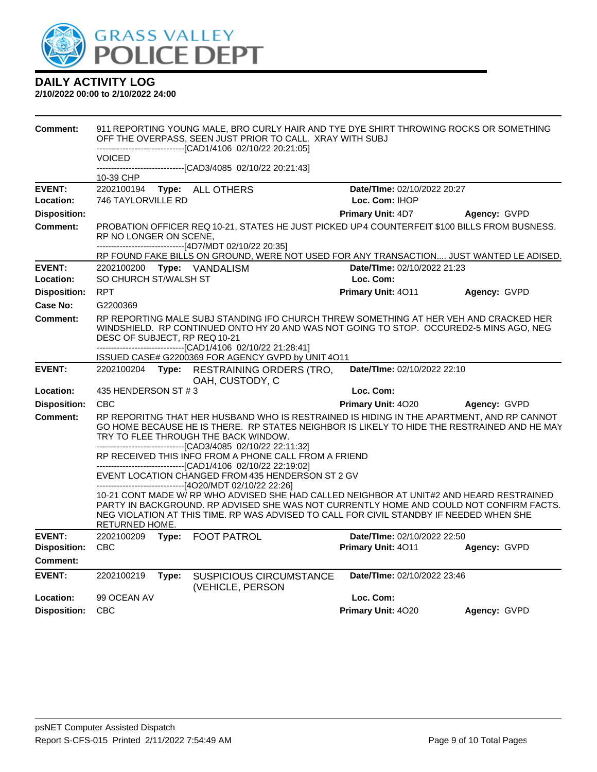

| <b>Comment:</b>                 | 911 REPORTING YOUNG MALE. BRO CURLY HAIR AND TYE DYE SHIRT THROWING ROCKS OR SOMETHING<br>OFF THE OVERPASS, SEEN JUST PRIOR TO CALL. XRAY WITH SUBJ<br>--------------------------------[CAD1/4106_02/10/22 20:21:05] |       |                                                                                                                                                                                 |  |                                                                                         |                                                                                                                                                                                          |
|---------------------------------|----------------------------------------------------------------------------------------------------------------------------------------------------------------------------------------------------------------------|-------|---------------------------------------------------------------------------------------------------------------------------------------------------------------------------------|--|-----------------------------------------------------------------------------------------|------------------------------------------------------------------------------------------------------------------------------------------------------------------------------------------|
|                                 | VOICED                                                                                                                                                                                                               |       |                                                                                                                                                                                 |  |                                                                                         |                                                                                                                                                                                          |
|                                 | 10-39 CHP                                                                                                                                                                                                            |       | -------------------[CAD3/4085_02/10/22 20:21:43]                                                                                                                                |  |                                                                                         |                                                                                                                                                                                          |
| <b>EVENT:</b><br>Location:      | 2202100194<br>746 TAYLORVILLE RD                                                                                                                                                                                     |       | Type: ALL OTHERS                                                                                                                                                                |  | Date/TIme: 02/10/2022 20:27<br>Loc. Com: IHOP                                           |                                                                                                                                                                                          |
| <b>Disposition:</b>             |                                                                                                                                                                                                                      |       |                                                                                                                                                                                 |  | Primary Unit: 4D7                                                                       | Agency: GVPD                                                                                                                                                                             |
| <b>Comment:</b>                 | RP NO LONGER ON SCENE,                                                                                                                                                                                               |       | ------------------------------[4D7/MDT 02/10/22 20:35]                                                                                                                          |  |                                                                                         | PROBATION OFFICER REQ 10-21, STATES HE JUST PICKED UP4 COUNTERFEIT \$100 BILLS FROM BUSNESS.                                                                                             |
|                                 |                                                                                                                                                                                                                      |       |                                                                                                                                                                                 |  |                                                                                         | RP FOUND FAKE BILLS ON GROUND, WERE NOT USED FOR ANY TRANSACTION JUST WANTED LE ADISED.                                                                                                  |
| <b>EVENT:</b><br>Location:      | 2202100200<br>SO CHURCH ST/WALSH ST                                                                                                                                                                                  |       | Type: VANDALISM                                                                                                                                                                 |  | Date/TIme: 02/10/2022 21:23<br>Loc. Com:                                                |                                                                                                                                                                                          |
| <b>Disposition:</b>             | <b>RPT</b>                                                                                                                                                                                                           |       |                                                                                                                                                                                 |  | Primary Unit: 4011                                                                      | Agency: GVPD                                                                                                                                                                             |
| <b>Case No:</b>                 | G2200369                                                                                                                                                                                                             |       |                                                                                                                                                                                 |  |                                                                                         |                                                                                                                                                                                          |
| Comment:                        | DESC OF SUBJECT, RP REQ 10-21                                                                                                                                                                                        |       | -------------------------------[CAD1/4106_02/10/22 21:28:41]                                                                                                                    |  |                                                                                         | RP REPORTING MALE SUBJ STANDING IFO CHURCH THREW SOMETHING AT HER VEH AND CRACKED HER<br>WINDSHIELD. RP CONTINUED ONTO HY 20 AND WAS NOT GOING TO STOP. OCCURED2-5 MINS AGO, NEG         |
|                                 |                                                                                                                                                                                                                      |       | ISSUED CASE# G2200369 FOR AGENCY GVPD by UNIT 4O11                                                                                                                              |  |                                                                                         |                                                                                                                                                                                          |
| <b>EVENT:</b>                   |                                                                                                                                                                                                                      |       | 2202100204 Type: RESTRAINING ORDERS (TRO,<br>OAH, CUSTODY, C                                                                                                                    |  | Date/TIme: 02/10/2022 22:10                                                             |                                                                                                                                                                                          |
| Location:                       | 435 HENDERSON ST #3                                                                                                                                                                                                  |       |                                                                                                                                                                                 |  | Loc. Com:                                                                               |                                                                                                                                                                                          |
| <b>Disposition:</b>             | <b>CBC</b>                                                                                                                                                                                                           |       |                                                                                                                                                                                 |  | Primary Unit: 4020                                                                      | Agency: GVPD                                                                                                                                                                             |
| <b>Comment:</b>                 |                                                                                                                                                                                                                      |       | TRY TO FLEE THROUGH THE BACK WINDOW.<br>-------------------------------[CAD3/4085 02/10/22 22:11:32]                                                                            |  |                                                                                         | RP REPORITNG THAT HER HUSBAND WHO IS RESTRAINED IS HIDING IN THE APARTMENT, AND RP CANNOT<br>GO HOME BECAUSE HE IS THERE. RP STATES NEIGHBOR IS LIKELY TO HIDE THE RESTRAINED AND HE MAY |
|                                 |                                                                                                                                                                                                                      |       | RP RECEIVED THIS INFO FROM A PHONE CALL FROM A FRIEND                                                                                                                           |  |                                                                                         |                                                                                                                                                                                          |
|                                 |                                                                                                                                                                                                                      |       | ---------------------------------[CAD1/4106_02/10/22 22:19:02]<br>EVENT LOCATION CHANGED FROM 435 HENDERSON ST 2 GV<br>-------------------------------[4O20/MDT 02/10/22 22:26] |  |                                                                                         |                                                                                                                                                                                          |
|                                 | RETURNED HOME.                                                                                                                                                                                                       |       |                                                                                                                                                                                 |  | NEG VIOLATION AT THIS TIME. RP WAS ADVISED TO CALL FOR CIVIL STANDBY IF NEEDED WHEN SHE | 10-21 CONT MADE W/ RP WHO ADVISED SHE HAD CALLED NEIGHBOR AT UNIT#2 AND HEARD RESTRAINED<br>PARTY IN BACKGROUND. RP ADVISED SHE WAS NOT CURRENTLY HOME AND COULD NOT CONFIRM FACTS.      |
| <b>EVENT:</b>                   | 2202100209                                                                                                                                                                                                           |       | Type: FOOT PATROL                                                                                                                                                               |  | Date/TIme: 02/10/2022 22:50                                                             |                                                                                                                                                                                          |
| <b>Disposition:</b><br>Comment: | <b>CBC</b>                                                                                                                                                                                                           |       |                                                                                                                                                                                 |  | Primary Unit: 4011                                                                      | Agency: GVPD                                                                                                                                                                             |
| <b>EVENT:</b>                   | 2202100219                                                                                                                                                                                                           | Type: | <b>SUSPICIOUS CIRCUMSTANCE</b><br>(VEHICLE, PERSON                                                                                                                              |  | Date/TIme: 02/10/2022 23:46                                                             |                                                                                                                                                                                          |
| Location:                       | 99 OCEAN AV                                                                                                                                                                                                          |       |                                                                                                                                                                                 |  | Loc. Com:                                                                               |                                                                                                                                                                                          |
| <b>Disposition:</b>             | <b>CBC</b>                                                                                                                                                                                                           |       |                                                                                                                                                                                 |  | Primary Unit: 4020                                                                      | Agency: GVPD                                                                                                                                                                             |